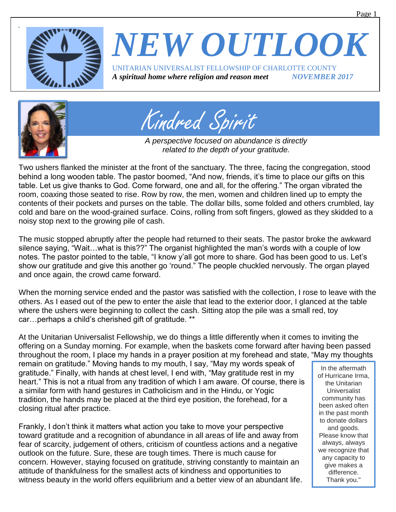



Kindred Spirit

*A perspective focused on abundance is directly related to the depth of your gratitude.*

Two ushers flanked the minister at the front of the sanctuary. The three, facing the congregation, stood behind a long wooden table. The pastor boomed, "And now, friends, it's time to place our gifts on this table. Let us give thanks to God. Come forward, one and all, for the offering." The organ vibrated the room, coaxing those seated to rise. Row by row, the men, women and children lined up to empty the contents of their pockets and purses on the table. The dollar bills, some folded and others crumbled, lay cold and bare on the wood-grained surface. Coins, rolling from soft fingers, glowed as they skidded to a noisy stop next to the growing pile of cash.

The music stopped abruptly after the people had returned to their seats. The pastor broke the awkward silence saying, "Wait…what is this??" The organist highlighted the man's words with a couple of low notes. The pastor pointed to the table, "I know y'all got more to share. God has been good to us. Let's show our gratitude and give this another go 'round." The people chuckled nervously. The organ played and once again, the crowd came forward.

When the morning service ended and the pastor was satisfied with the collection, I rose to leave with the others. As I eased out of the pew to enter the aisle that lead to the exterior door, I glanced at the table where the ushers were beginning to collect the cash. Sitting atop the pile was a small red, toy car…perhaps a child's cherished gift of gratitude. \*\*

At the Unitarian Universalist Fellowship, we do things a little differently when it comes to inviting the offering on a Sunday morning. For example, when the baskets come forward after having been passed throughout the room, I place my hands in a prayer position at my forehead and state, "May my thoughts

remain on gratitude." Moving hands to my mouth, I say, "May my words speak of gratitude." Finally, with hands at chest level, I end with, "May gratitude rest in my heart." This is not a ritual from any tradition of which I am aware. Of course, there is a similar form with hand gestures in Catholicism and in the Hindu, or Yogic tradition, the hands may be placed at the third eye position, the forehead, for a closing ritual after practice.

Frankly, I don't think it matters what action you take to move your perspective toward gratitude and a recognition of abundance in all areas of life and away from fear of scarcity, judgement of others, criticism of countless actions and a negative outlook on the future. Sure, these are tough times. There is much cause for concern. However, staying focused on gratitude, striving constantly to maintain an attitude of thankfulness for the smallest acts of kindness and opportunities to witness beauty in the world offers equilibrium and a better view of an abundant life.

In the aftermath of Hurricane Irma, the Unitarian Universalist community has been asked often in the past month to donate dollars and goods. Please know that always, always we recognize that any capacity to give makes a difference. Thank you."

Page 1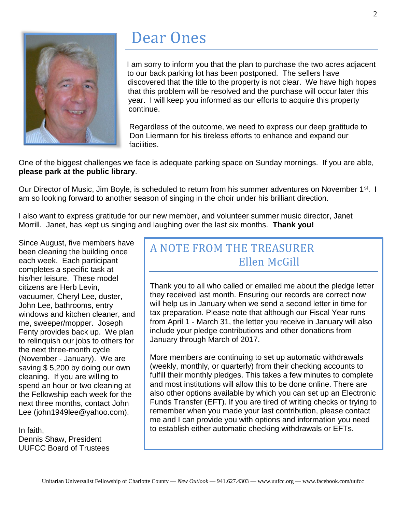

### Dear Ones

I am sorry to inform you that the plan to purchase the two acres adjacent to our back parking lot has been postponed. The sellers have discovered that the title to the property is not clear. We have high hopes that this problem will be resolved and the purchase will occur later this year. I will keep you informed as our efforts to acquire this property continue.

Regardless of the outcome, we need to express our deep gratitude to Don Liermann for his tireless efforts to enhance and expand our facilities.

One of the biggest challenges we face is adequate parking space on Sunday mornings. If you are able, **please park at the public library**.

Our Director of Music, Jim Boyle, is scheduled to return from his summer adventures on November 1<sup>st</sup>. I am so looking forward to another season of singing in the choir under his brilliant direction.

I also want to express gratitude for our new member, and volunteer summer music director, Janet Morrill. Janet, has kept us singing and laughing over the last six months. **Thank you!**

Since August, five members have been cleaning the building once each week. Each participant completes a specific task at his/her leisure. These model citizens are Herb Levin, vacuumer, Cheryl Lee, duster, John Lee, bathrooms, entry windows and kitchen cleaner, and me, sweeper/mopper. Joseph Fenty provides back up. We plan to relinquish our jobs to others for the next three-month cycle (November - January). We are saving \$ 5,200 by doing our own cleaning. If you are willing to spend an hour or two cleaning at the Fellowship each week for the next three months, contact John Lee (john1949lee@yahoo.com).

In faith, Dennis Shaw, President UUFCC Board of Trustees

### A NOTE FROM THE TREASURER Ellen McGill

Thank you to all who called or emailed me about the pledge letter they received last month. Ensuring our records are correct now will help us in January when we send a second letter in time for tax preparation. Please note that although our Fiscal Year runs from April 1 - March 31, the letter you receive in January will also include your pledge contributions and other donations from January through March of 2017.

More members are continuing to set up automatic withdrawals (weekly, monthly, or quarterly) from their checking accounts to fulfill their monthly pledges. This takes a few minutes to complete and most institutions will allow this to be done online. There are also other options available by which you can set up an Electronic Funds Transfer (EFT). If you are tired of writing checks or trying to remember when you made your last contribution, please contact me and I can provide you with options and information you need to establish either automatic checking withdrawals or EFTs.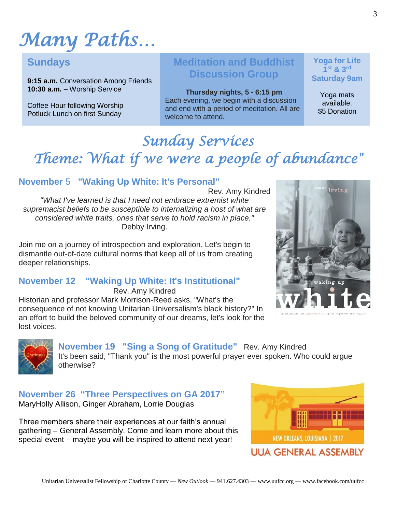# *Many Paths…*

### **Sundays**

**9:15 a.m.** Conversation Among Friends **10:30 a.m.** – Worship Service

Coffee Hour following Worship Potluck Lunch on first Sunday

### **Meditation and Buddhist Discussion Group**

**Thursday nights, 5 - 6:15 pm** Each evening, we begin with a discussion and end with a period of meditation. All are welcome to attend.

**Yoga for Life 1 st & 3rd Saturday 9am**

> Yoga mats available. \$5 Donation

### *Sunday Services Theme: What if we were a people of abundance"*

#### **November** 5 **"Waking Up White: It's Personal"**

Rev. Amy Kindred *"What I've learned is that I need not embrace extremist white supremacist beliefs to be susceptible to internalizing a host of what are considered white traits, ones that serve to hold racism in place."* Debby Irving.

Join me on a journey of introspection and exploration. Let's begin to dismantle out-of-date cultural norms that keep all of us from creating deeper relationships.

#### **November 12 "Waking Up White: It's Institutional"**

Rev. Amy Kindred Historian and professor Mark Morrison-Reed asks, "What's the consequence of not knowing Unitarian Universalism's black history?" In an effort to build the beloved community of our dreams, let's look for the lost voices.





**November 19 "Sing a Song of Gratitude"** Rev. Amy Kindred It's been said, "Thank you" is the most powerful prayer ever spoken. Who could argue otherwise?

#### **November 26 "Three Perspectives on GA 2017"** MaryHolly Allison, Ginger Abraham, Lorrie Douglas

Three members share their experiences at our faith's annual gathering – General Assembly. Come and learn more about this special event – maybe you will be inspired to attend next year!

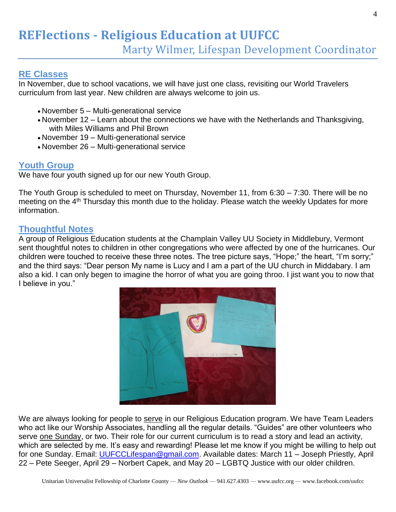# **REFlections - Religious Education at UUFCC**

Marty Wilmer, Lifespan Development Coordinator

#### **RE Classes**

In November, due to school vacations, we will have just one class, revisiting our World Travelers curriculum from last year. New children are always welcome to join us.

- November 5 Multi-generational service
- November 12 Learn about the connections we have with the Netherlands and Thanksgiving, with Miles Williams and Phil Brown
- November 19 Multi-generational service
- November 26 Multi-generational service

#### **Youth Group**

We have four youth signed up for our new Youth Group.

The Youth Group is scheduled to meet on Thursday, November 11, from 6:30 – 7:30. There will be no meeting on the 4<sup>th</sup> Thursday this month due to the holiday. Please watch the weekly Updates for more information.

#### **Thoughtful Notes**

A group of Religious Education students at the Champlain Valley UU Society in Middlebury, Vermont sent thoughtful notes to children in other congregations who were affected by one of the hurricanes. Our children were touched to receive these three notes. The tree picture says, "Hope;" the heart, "I'm sorry;" and the third says: "Dear person My name is Lucy and I am a part of the UU church in Middabary. I am also a kid. I can only begen to imagine the horror of what you are going throo. I jist want you to now that I believe in you."



We are always looking for people to serve in our Religious Education program. We have Team Leaders who act like our Worship Associates, handling all the regular details. "Guides" are other volunteers who serve one Sunday, or two. Their role for our current curriculum is to read a story and lead an activity, which are selected by me. It's easy and rewarding! Please let me know if you might be willing to help out for one Sunday. Email: [UUFCCLifespan@gmail.com.](mailto:UUFCCLifespan@gmail.com) Available dates: March 11 - Joseph Priestly, April 22 – Pete Seeger, April 29 – Norbert Capek, and May 20 – LGBTQ Justice with our older children.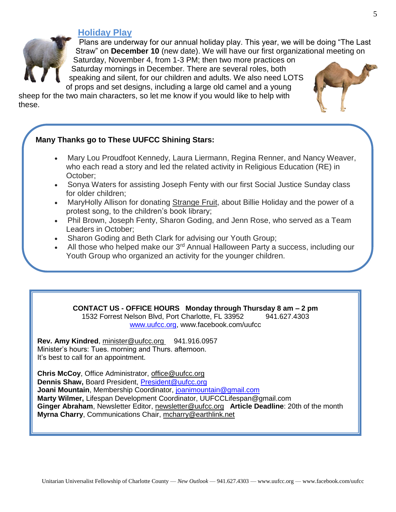#### **Holiday Play**



Plans are underway for our annual holiday play. This year, we will be doing "The Last Straw" on **December 10** (new date). We will have our first organizational meeting on Saturday, November 4, from 1-3 PM; then two more practices on Saturday mornings in December. There are several roles, both

speaking and silent, for our children and adults. We also need LOTS of props and set designs, including a large old camel and a young

sheep for the two main characters, so let me know if you would like to help with these.

#### **Many Thanks go to These UUFCC Shining Stars:**

- Mary Lou Proudfoot Kennedy, Laura Liermann, Regina Renner, and Nancy Weaver, who each read a story and led the related activity in Religious Education (RE) in October;
- Sonya Waters for assisting Joseph Fenty with our first Social Justice Sunday class for older children;
- MaryHolly Allison for donating Strange Fruit, about Billie Holiday and the power of a protest song, to the children's book library;
- Phil Brown, Joseph Fenty, Sharon Goding, and Jenn Rose, who served as a Team Leaders in October;
- Sharon Goding and Beth Clark for advising our Youth Group;
- All those who helped make our 3<sup>rd</sup> Annual Halloween Party a success, including our Youth Group who organized an activity for the younger children.

**CONTACT US - OFFICE HOURS Monday through Thursday 8 am – 2 pm**

1532 Forrest Nelson Blvd, Port Charlotte, FL 33952 941.627.4303 [www.uufcc.org,](http://www.uufcc.org/) www.facebook.com/uufcc

**Rev. Amy Kindred**, minister@uufcc.org 941.916.0957 Minister's hours: Tues. morning and Thurs. afternoon. It's best to call for an appointment.

**Chris McCoy**, Office Administrator, [office@uufcc.org](mailto:office@uufcc.org) **Dennis Shaw,** Board President, [President@uufcc.org](mailto:President@uufcc.org) **Joani Mountain**, Membership Coordinator, [joanimountain@gmail.com](mailto:joanimountain@gmail.com) **Marty Wilmer,** Lifespan Development Coordinator, UUFCCLifespan@gmail.com **Ginger Abraham**, Newsletter Editor, newsletter@uufcc.org **Article Deadline**: 20th of the month **Myrna Charry**, Communications Chair, mcharry@earthlink.net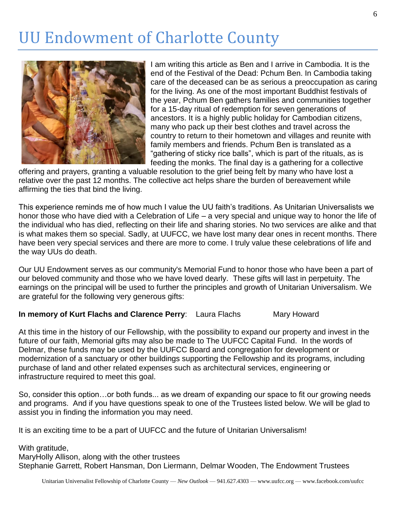## UU Endowment of Charlotte County



I am writing this article as Ben and I arrive in Cambodia. It is the end of the Festival of the Dead: Pchum Ben. In Cambodia taking care of the deceased can be as serious a preoccupation as caring for the living. As one of the most important Buddhist festivals of the year, Pchum Ben gathers families and communities together for a 15-day ritual of redemption for seven generations of ancestors. It is a highly public holiday for Cambodian citizens, many who pack up their best clothes and travel across the country to return to their hometown and villages and reunite with family members and friends. Pchum Ben is translated as a "gathering of sticky rice balls", which is part of the rituals, as is feeding the monks. The final day is a gathering for a collective

offering and prayers, granting a valuable resolution to the grief being felt by many who have lost a relative over the past 12 months. The collective act helps share the burden of bereavement while affirming the ties that bind the living.

This experience reminds me of how much I value the UU faith's traditions. As Unitarian Universalists we honor those who have died with a Celebration of Life – a very special and unique way to honor the life of the individual who has died, reflecting on their life and sharing stories. No two services are alike and that is what makes them so special. Sadly, at UUFCC, we have lost many dear ones in recent months. There have been very special services and there are more to come. I truly value these celebrations of life and the way UUs do death.

Our UU Endowment serves as our community's Memorial Fund to honor those who have been a part of our beloved community and those who we have loved dearly. These gifts will last in perpetuity. The earnings on the principal will be used to further the principles and growth of Unitarian Universalism. We are grateful for the following very generous gifts:

#### **In memory of Kurt Flachs and Clarence Perry:** Laura Flachs Mary Howard

At this time in the history of our Fellowship, with the possibility to expand our property and invest in the future of our faith, Memorial gifts may also be made to The UUFCC Capital Fund. In the words of Delmar, these funds may be used by the UUFCC Board and congregation for development or modernization of a sanctuary or other buildings supporting the Fellowship and its programs, including purchase of land and other related expenses such as architectural services, engineering or infrastructure required to meet this goal.

So, consider this option…or both funds... as we dream of expanding our space to fit our growing needs and programs. And if you have questions speak to one of the Trustees listed below. We will be glad to assist you in finding the information you may need.

It is an exciting time to be a part of UUFCC and the future of Unitarian Universalism!

With gratitude,

MaryHolly Allison, along with the other trustees Stephanie Garrett, Robert Hansman, Don Liermann, Delmar Wooden, The Endowment Trustees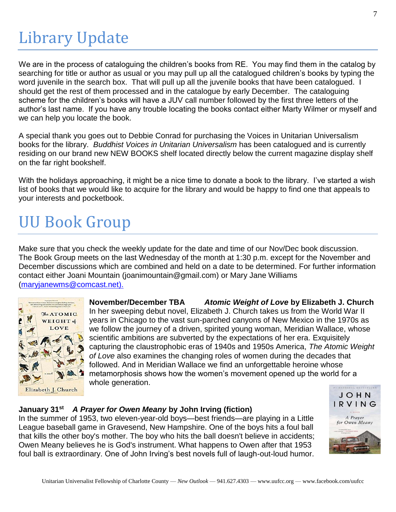## Library Update

We are in the process of cataloguing the children's books from RE. You may find them in the catalog by searching for title or author as usual or you may pull up all the catalogued children's books by typing the word juvenile in the search box. That will pull up all the juvenile books that have been catalogued. I should get the rest of them processed and in the catalogue by early December. The cataloguing scheme for the children's books will have a JUV call number followed by the first three letters of the author's last name. If you have any trouble locating the books contact either Marty Wilmer or myself and we can help you locate the book.

A special thank you goes out to Debbie Conrad for purchasing the Voices in Unitarian Universalism books for the library. *Buddhist Voices in Unitarian Universalism* has been catalogued and is currently residing on our brand new NEW BOOKS shelf located directly below the current magazine display shelf on the far right bookshelf.

With the holidays approaching, it might be a nice time to donate a book to the library. I've started a wish list of books that we would like to acquire for the library and would be happy to find one that appeals to your interests and pocketbook.

# UU Book Group

Make sure that you check the weekly update for the date and time of our Nov/Dec book discussion. The Book Group meets on the last Wednesday of the month at 1:30 p.m. except for the November and December discussions which are combined and held on a date to be determined. For further information contact either Joani Mountain (joanimountain@gmail.com) or Mary Jane Williams [\(maryjanewms@comcast.net\)](mailto:maryjanewms@comcast.net).



**November/December TBA** *Atomic Weight of Love* **by Elizabeth J. Church**  In her sweeping debut novel, Elizabeth J. Church takes us from the World War II years in Chicago to the vast sun-parched canyons of New Mexico in the 1970s as we follow the journey of a driven, spirited young woman, Meridian Wallace, whose scientific ambitions are subverted by the expectations of her era. Exquisitely capturing the claustrophobic eras of 1940s and 1950s America, *The Atomic Weight of Love* also examines the changing roles of women during the decades that followed. And in Meridian Wallace we find an unforgettable heroine whose metamorphosis shows how the women's movement opened up the world for a whole generation.

#### **January 31st** *A Prayer for Owen Meany* **by John Irving (fiction)**

In the summer of 1953, two eleven-year-old boys—best friends—are playing in a Little League baseball game in Gravesend, New Hampshire. One of the boys hits a foul ball that kills the other boy's mother. The boy who hits the ball doesn't believe in accidents; Owen Meany believes he is God's instrument. What happens to Owen after that 1953 foul ball is extraordinary. One of John Irving's best novels full of laugh-out-loud humor.

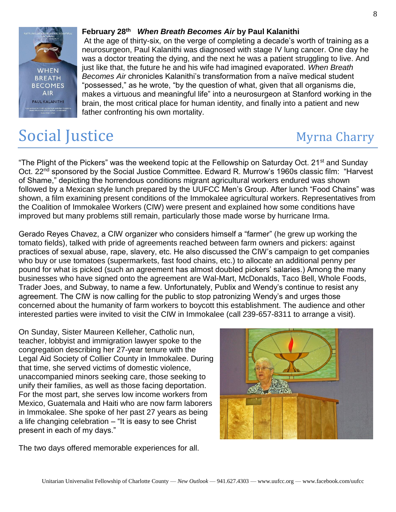#### **February 28th** *When Breath Becomes Air* **by Paul Kalanithi**

At the age of thirty-six, on the verge of completing a decade's worth of training as a neurosurgeon, Paul Kalanithi was diagnosed with stage IV lung cancer. One day he was a doctor treating the dying, and the next he was a patient struggling to live. And just like that, the future he and his wife had imagined evaporated. *When Breath Becomes Air* chronicles Kalanithi's transformation from a naïve medical student "possessed," as he wrote, "by the question of what, given that all organisms die, makes a virtuous and meaningful life" into a neurosurgeon at Stanford working in the brain, the most critical place for human identity, and finally into a patient and new father confronting his own mortality.

### Social Justice Myrna Charry

"The Plight of the Pickers" was the weekend topic at the Fellowship on Saturday Oct. 21<sup>st</sup> and Sunday Oct. 22<sup>nd</sup> sponsored by the Social Justice Committee. Edward R. Murrow's 1960s classic film: "Harvest of Shame," depicting the horrendous conditions migrant agricultural workers endured was shown followed by a Mexican style lunch prepared by the UUFCC Men's Group. After lunch "Food Chains" was shown, a film examining present conditions of the Immokalee agricultural workers. Representatives from the Coalition of Immokalee Workers (CIW) were present and explained how some conditions have improved but many problems still remain, particularly those made worse by hurricane Irma.

Gerado Reyes Chavez, a CIW organizer who considers himself a "farmer" (he grew up working the tomato fields), talked with pride of agreements reached between farm owners and pickers: against practices of sexual abuse, rape, slavery, etc. He also discussed the CIW's campaign to get companies who buy or use tomatoes (supermarkets, fast food chains, etc.) to allocate an additional penny per pound for what is picked (such an agreement has almost doubled pickers' salaries.) Among the many businesses who have signed onto the agreement are Wal-Mart, McDonalds, Taco Bell, Whole Foods, Trader Joes, and Subway, to name a few. Unfortunately, Publix and Wendy's continue to resist any agreement. The CIW is now calling for the public to stop patronizing Wendy's and urges those concerned about the humanity of farm workers to boycott this establishment. The audience and other interested parties were invited to visit the CIW in Immokalee (call 239-657-8311 to arrange a visit).

On Sunday, Sister Maureen Kelleher, Catholic nun, teacher, lobbyist and immigration lawyer spoke to the congregation describing her 27-year tenure with the Legal Aid Society of Collier County in Immokalee. During that time, she served victims of domestic violence, unaccompanied minors seeking care, those seeking to unify their families, as well as those facing deportation. For the most part, she serves low income workers from Mexico, Guatemala and Haiti who are now farm laborers in Immokalee. She spoke of her past 27 years as being a life changing celebration – "It is easy to see Christ present in each of my days."

The two days offered memorable experiences for all.